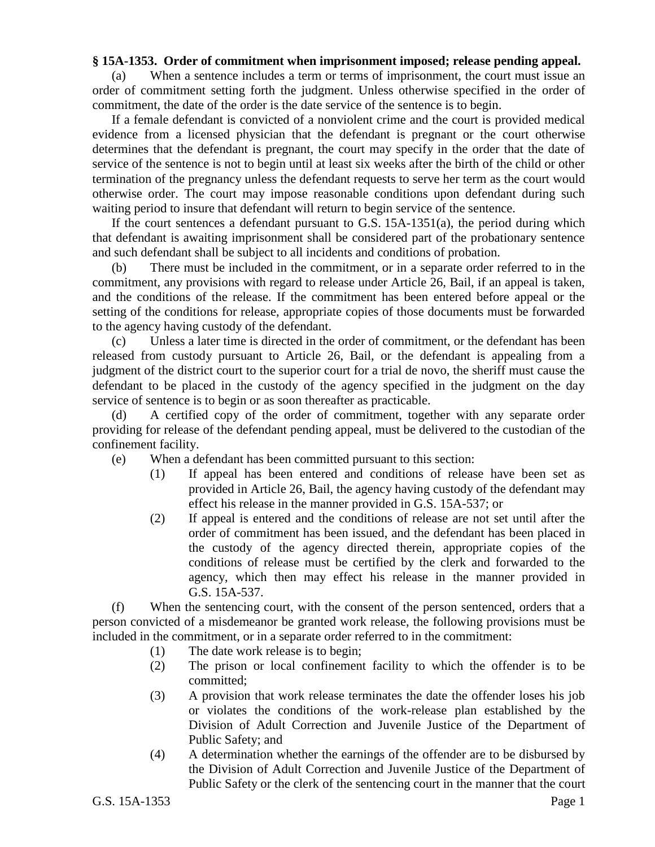## **§ 15A-1353. Order of commitment when imprisonment imposed; release pending appeal.**

(a) When a sentence includes a term or terms of imprisonment, the court must issue an order of commitment setting forth the judgment. Unless otherwise specified in the order of commitment, the date of the order is the date service of the sentence is to begin.

If a female defendant is convicted of a nonviolent crime and the court is provided medical evidence from a licensed physician that the defendant is pregnant or the court otherwise determines that the defendant is pregnant, the court may specify in the order that the date of service of the sentence is not to begin until at least six weeks after the birth of the child or other termination of the pregnancy unless the defendant requests to serve her term as the court would otherwise order. The court may impose reasonable conditions upon defendant during such waiting period to insure that defendant will return to begin service of the sentence.

If the court sentences a defendant pursuant to G.S. 15A-1351(a), the period during which that defendant is awaiting imprisonment shall be considered part of the probationary sentence and such defendant shall be subject to all incidents and conditions of probation.

(b) There must be included in the commitment, or in a separate order referred to in the commitment, any provisions with regard to release under Article 26, Bail, if an appeal is taken, and the conditions of the release. If the commitment has been entered before appeal or the setting of the conditions for release, appropriate copies of those documents must be forwarded to the agency having custody of the defendant.

(c) Unless a later time is directed in the order of commitment, or the defendant has been released from custody pursuant to Article 26, Bail, or the defendant is appealing from a judgment of the district court to the superior court for a trial de novo, the sheriff must cause the defendant to be placed in the custody of the agency specified in the judgment on the day service of sentence is to begin or as soon thereafter as practicable.

(d) A certified copy of the order of commitment, together with any separate order providing for release of the defendant pending appeal, must be delivered to the custodian of the confinement facility.

- (e) When a defendant has been committed pursuant to this section:
	- (1) If appeal has been entered and conditions of release have been set as provided in Article 26, Bail, the agency having custody of the defendant may effect his release in the manner provided in G.S. 15A-537; or
	- (2) If appeal is entered and the conditions of release are not set until after the order of commitment has been issued, and the defendant has been placed in the custody of the agency directed therein, appropriate copies of the conditions of release must be certified by the clerk and forwarded to the agency, which then may effect his release in the manner provided in G.S. 15A-537.

(f) When the sentencing court, with the consent of the person sentenced, orders that a person convicted of a misdemeanor be granted work release, the following provisions must be included in the commitment, or in a separate order referred to in the commitment:

- (1) The date work release is to begin;
- (2) The prison or local confinement facility to which the offender is to be committed;
- (3) A provision that work release terminates the date the offender loses his job or violates the conditions of the work-release plan established by the Division of Adult Correction and Juvenile Justice of the Department of Public Safety; and
- (4) A determination whether the earnings of the offender are to be disbursed by the Division of Adult Correction and Juvenile Justice of the Department of Public Safety or the clerk of the sentencing court in the manner that the court

G.S. 15A-1353 Page 1